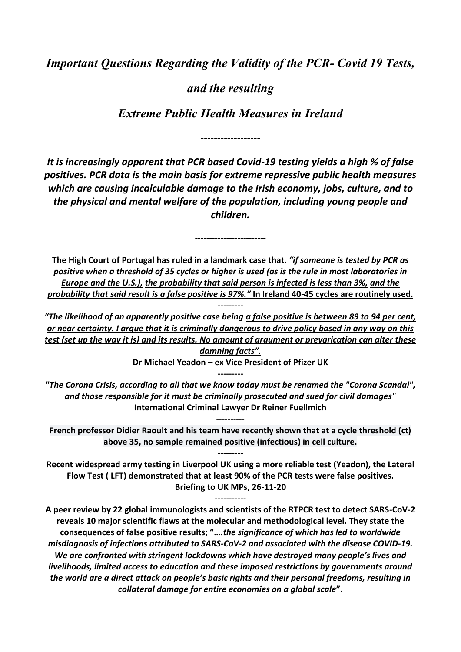*Important Questions Regarding the Validity of the PCR- Covid 19 Tests,* 

# *and the resulting*

*Extreme Public Health Measures in Ireland*

------------------

*It is increasingly apparent that PCR based Covid-19 testing yields a high % of false positives. PCR data is the main basis for extreme repressive public health measures which are causing incalculable damage to the Irish economy, jobs, culture, and to the physical and mental welfare of the population, including young people and children.* 

**The High Court of Portugal has ruled in a landmark case that.** *"if someone is tested by PCR as positive when a threshold of 35 cycles or higher is used (as is the rule in most laboratories in Europe and the U.S.), the probability that said person is infected is less than 3%, and the probability that said result is a false positive is 97%."* **In Ireland 40-45 cycles are routinely used.**

*-------------------------*

*"The likelihood of an apparently positive case being a false positive is between 89 to 94 per cent, or near certainty. I argue that it is criminally dangerous to drive policy based in any way on this test (set up the way it is) and its results. No amount of argument or prevarication can alter these damning facts".*

**---------**

**Dr Michael Yeadon – ex Vice President of Pfizer UK**

**---------**

*"The Corona Crisis, according to all that we know today must be renamed the "Corona Scandal", and those responsible for it must be criminally prosecuted and sued for civil damages"*  **International Criminal Lawyer Dr Reiner Fuellmich**

**French professor Didier Raoult and his team have recently shown that at a cycle threshold (ct) above 35, no sample remained positive (infectious) in cell culture.**

**---------**

**----------**

**Recent widespread army testing in Liverpool UK using a more reliable test (Yeadon), the Lateral Flow Test ( LFT) demonstrated that at least 90% of the PCR tests were false positives. Briefing to UK MPs, 26-11-20**

**-----------**

**A peer review by 22 global immunologists and scientists of the RTPCR test to detect SARS-CoV-2 reveals 10 major scientific flaws at the molecular and methodological level. They state the consequences of false positive results; "….***the significance of which has led to worldwide misdiagnosis of infections attributed to SARS-CoV-2 and associated with the disease COVID-19. We are confronted with stringent lockdowns which have destroyed many people's lives and livelihoods, limited access to education and these imposed restrictions by governments around the world are a direct attack on people's basic rights and their personal freedoms, resulting in collateral damage for entire economies on a global scale***".**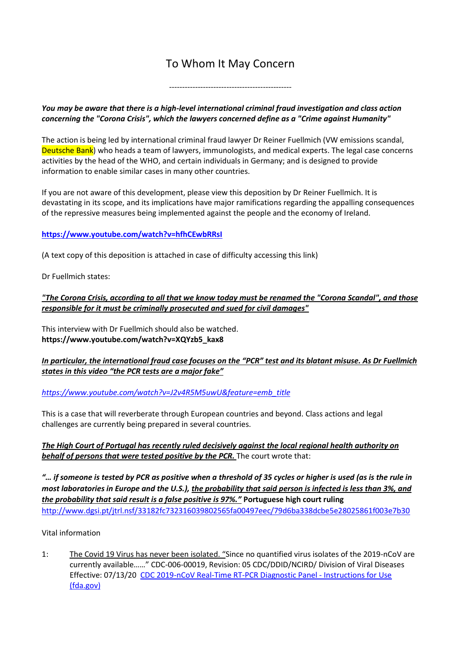# To Whom It May Concern

-----------------------------------------------

# *You may be aware that there is a high-level international criminal fraud investigation and class action concerning the "Corona Crisis", which the lawyers concerned define as a "Crime against Humanity"*

The action is being led by international criminal fraud lawyer Dr Reiner Fuellmich (VW emissions scandal, Deutsche Bank) who heads a team of lawyers, immunologists, and medical experts. The legal case concerns activities by the head of the WHO, and certain individuals in Germany; and is designed to provide information to enable similar cases in many other countries.

If you are not aware of this development, please view this deposition by Dr Reiner Fuellmich. It is devastating in its scope, and its implications have major ramifications regarding the appalling consequences of the repressive measures being implemented against the people and the economy of Ireland.

# **<https://www.youtube.com/watch?v=hfhCEwbRRsI>**

(A text copy of this deposition is attached in case of difficulty accessing this link)

Dr Fuellmich states:

# *"The Corona Crisis, according to all that we know today must be renamed the "Corona Scandal", and those responsible for it must be criminally prosecuted and sued for civil damages"*

This interview with Dr Fuellmich should also be watched. **[https://www.youtube.com/watch?v=XQYzb5\\_kax8](https://www.youtube.com/watch?v=XQYzb5_kax8)**

# *In particular, the international fraud case focuses on the "PCR" test and its blatant misuse. As Dr Fuellmich states in this video "the PCR tests are a major fake"*

*[https://www.youtube.com/watch?v=J2v4R5M5uwU&feature=emb\\_title](https://www.youtube.com/watch?v=J2v4R5M5uwU&feature=emb_title)*

This is a case that will reverberate through European countries and beyond. Class actions and legal challenges are currently being prepared in several countries.

# *The High Court of Portugal has recently ruled decisively against the local regional health authority on behalf of persons that were tested positive by the PCR.* The court wrote that:

*"… if someone is tested by PCR as positive when a threshold of 35 cycles or higher is used (as is the rule in most laboratories in Europe and the U.S.), the probability that said person is infected is less than 3%, and the probability that said result is a false positive is 97%."* **Portuguese high court ruling** <http://www.dgsi.pt/jtrl.nsf/33182fc732316039802565fa00497eec/79d6ba338dcbe5e28025861f003e7b30>

# Vital information

1: The Covid 19 Virus has never been isolated. "Since no quantified virus isolates of the 2019-nCoV are currently available……" CDC-006-00019, Revision: 05 CDC/DDID/NCIRD/ Division of Viral Diseases Effective: 07/13/20 [CDC 2019-nCoV Real-Time RT-PCR Diagnostic Panel -](https://www.fda.gov/media/134922/download) Instructions for Use [\(fda.gov\)](https://www.fda.gov/media/134922/download)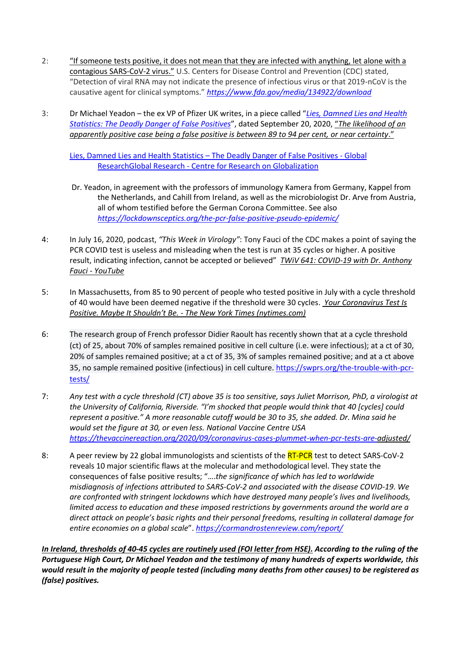- 2: "If someone tests positive, it does not mean that they are infected with anything, let alone with a contagious SARS-CoV-2 virus." U.S. Centers for Disease Control and Prevention (CDC) stated, "Detection of viral RNA may not indicate the presence of infectious virus or that 2019-nCoV is the causative agent for clinical symptoms." *<https://www.fda.gov/media/134922/download>*
- 3: Dr Michael Yeadon the ex VP of Pfizer UK writes, in a piece called "*[Lies, Damned Lies and Health](https://lockdownsceptics.org/lies-damned-lies-and-health-statistics-the-deadly-danger-of-false-positives/)  [Statistics: The Deadly Danger of False Positives](https://lockdownsceptics.org/lies-damned-lies-and-health-statistics-the-deadly-danger-of-false-positives/)*", dated September 20, 2020, "*The likelihood of an apparently positive case being a false positive is between 89 to 94 per cent, or near certainty*."

[Lies, Damned Lies and Health Statistics](https://www.globalresearch.ca/lies-damned-lies-health-statistics-deadly-danger-false-positives/5724417) – The Deadly Danger of False Positives - Global ResearchGlobal Research - [Centre for Research on Globalization](https://www.globalresearch.ca/lies-damned-lies-health-statistics-deadly-danger-false-positives/5724417)

- Dr. Yeadon, in agreement with the professors of immunology Kamera from Germany, Kappel from the Netherlands, and Cahill from Ireland, as well as the microbiologist Dr. Arve from Austria, all of whom testified before the German Corona Committee. See also *<https://lockdownsceptics.org/the-pcr-false-positive-pseudo-epidemic/>*
- 4: In July 16, 2020, podcast, *"This Week in Virology"*: Tony Fauci of the CDC makes a point of saying the PCR COVID test is useless and misleading when the test is run at 35 cycles or higher. A positive result, indicating infection, cannot be accepted or believed" *[TWiV 641: COVID-19 with Dr. Anthony](https://www.youtube.com/watch?v=a_Vy6fgaBPE&feature=youtu.be)  Fauci - [YouTube](https://www.youtube.com/watch?v=a_Vy6fgaBPE&feature=youtu.be)*
- 5: In Massachusetts, from 85 to 90 percent of people who tested positive in July with a cycle threshold of 40 would have been deemed negative if the threshold were 30 cycles. *[Your Coronavirus Test Is](https://www.nytimes.com/2020/08/29/health/coronavirus-testing.html)  Positive. Maybe It Shouldn't Be. - [The New York Times \(nytimes.com\)](https://www.nytimes.com/2020/08/29/health/coronavirus-testing.html)*
- 6: The research group of French professor Didier Raoult has recently shown that at a cycle threshold (ct) of 25, about 70% of samples remained positive in cell culture (i.e. were infectious); at a ct of 30, 20% of samples remained positive; at a ct of 35, 3% of samples remained positive; and at a ct above 35, no sample remained positive (infectious) in cell culture. [https://swprs.org/the-trouble-with-pcr](https://swprs.org/the-trouble-with-pcr-tests/)[tests/](https://swprs.org/the-trouble-with-pcr-tests/)
- 7: *Any test with a cycle threshold (CT) above 35 is too sensitive, says Juliet Morrison, PhD, a virologist at the University of California, Riverside. "I'm shocked that people would think that 40 [cycles] could represent a positive." A more reasonable cutoff would be 30 to 35, she added. Dr. Mina said he would set the figure at 30, or even less. National Vaccine Centre USA [https://thevaccinereaction.org/2020/09/coronavirus-cases-plummet-when-pcr-tests-are-a](https://thevaccinereaction.org/2020/09/coronavirus-cases-plummet-when-pcr-tests-are-)djusted/*
- 8: A peer review by 22 global immunologists and scientists of the RT-PCR test to detect SARS-CoV-2 reveals 10 major scientific flaws at the molecular and methodological level. They state the consequences of false positive results; "….*the significance of which has led to worldwide misdiagnosis of infections attributed to SARS-CoV-2 and associated with the disease COVID-19. We are confronted with stringent lockdowns which have destroyed many people's lives and livelihoods, limited access to education and these imposed restrictions by governments around the world are a direct attack on people's basic rights and their personal freedoms, resulting in collateral damage for entire economies on a global scale*". *<https://cormandrostenreview.com/report/>*

*In Ireland, thresholds of 40-45 cycles are routinely used (FOI letter from HSE). According to the ruling of the Portuguese High Court, Dr Michael Yeadon and the testimony of many hundreds of experts worldwide, this would result in the majority of people tested (including many deaths from other causes) to be registered as (false) positives.*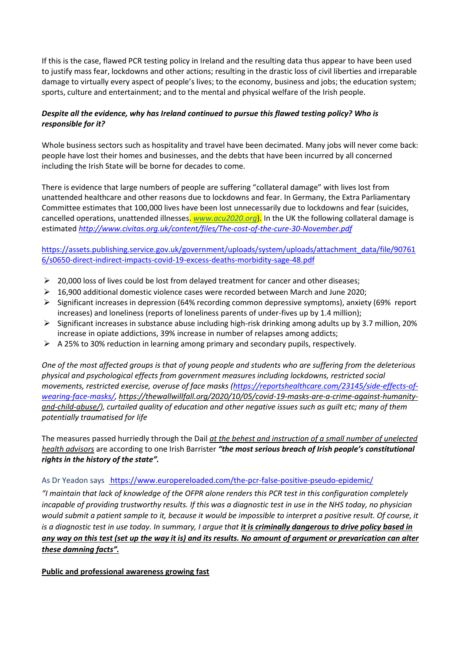If this is the case, flawed PCR testing policy in Ireland and the resulting data thus appear to have been used to justify mass fear, lockdowns and other actions; resulting in the drastic loss of civil liberties and irreparable damage to virtually every aspect of people's lives; to the economy, business and jobs; the education system; sports, culture and entertainment; and to the mental and physical welfare of the Irish people.

# *Despite all the evidence, why has Ireland continued to pursue this flawed testing policy? Who is responsible for it?*

Whole business sectors such as hospitality and travel have been decimated. Many jobs will never come back: people have lost their homes and businesses, and the debts that have been incurred by all concerned including the Irish State will be borne for decades to come.

There is evidence that large numbers of people are suffering "collateral damage" with lives lost from unattended healthcare and other reasons due to lockdowns and fear. In Germany, the Extra Parliamentary Committee estimates that 100,000 lives have been lost unnecessarily due to lockdowns and fear (suicides, cancelled operations, unattended illnesses. *www.acu2020.org*). In the UK the following collateral damage is estimated *<http://www.civitas.org.uk/content/files/The-cost-of-the-cure-30-November.pdf>*

[https://assets.publishing.service.gov.uk/government/uploads/system/uploads/attachment\\_data/file/90761](https://assets.publishing.service.gov.uk/government/uploads/system/uploads/attachment_data/file/907616/s0650-direct-indirect-impacts-covid-19-excess-deaths-morbidity-sage-48.pdf) [6/s0650-direct-indirect-impacts-covid-19-excess-deaths-morbidity-sage-48.pdf](https://assets.publishing.service.gov.uk/government/uploads/system/uploads/attachment_data/file/907616/s0650-direct-indirect-impacts-covid-19-excess-deaths-morbidity-sage-48.pdf)

- $\geq 20,000$  loss of lives could be lost from delayed treatment for cancer and other diseases;
- $\triangleright$  16,900 additional domestic violence cases were recorded between March and June 2020;
- ➢ Significant increases in depression (64% recording common depressive symptoms), anxiety (69% report increases) and loneliness (reports of loneliness parents of under-fives up by 1.4 million);
- $\triangleright$  Significant increases in substance abuse including high-risk drinking among adults up by 3.7 million, 20% increase in opiate addictions, 39% increase in number of relapses among addicts;
- ➢ A 25% to 30% reduction in learning among primary and secondary pupils, respectively.

*One of the most affected groups is that of young people and students who are suffering from the deleterious physical and psychological effects from government measures including lockdowns, restricted social movements, restricted exercise, overuse of face masks [\(https://reportshealthcare.com/23145/side-effects-of](https://reportshealthcare.com/23145/side-effects-of-wearing-face-masks/)[wearing-face-masks/,](https://reportshealthcare.com/23145/side-effects-of-wearing-face-masks/) https://thewallwillfall.org/2020/10/05/covid-19-masks-are-a-crime-against-humanityand-child-abuse/), curtailed quality of education and other negative issues such as guilt etc; many of them potentially traumatised for life* 

The measures passed hurriedly through the Dail *at the behest and instruction of a small number of unelected health advisors* are according to one Irish Barrister *"the most serious breach of Irish people's constitutional rights in the history of the state".*

#### As Dr Yeadon says <https://www.europereloaded.com/the-pcr-false-positive-pseudo-epidemic/>

*"I maintain that lack of knowledge of the OFPR alone renders this PCR test in this configuration completely incapable of providing trustworthy results. If this was a diagnostic test in use in the NHS today, no physician would submit a patient sample to it, because it would be impossible to interpret a positive result. Of course, it is a diagnostic test in use today. In summary, I argue that <i>it is criminally dangerous to drive policy based in any way on this test (set up the way it is) and its results. No amount of argument or prevarication can alter these damning facts".*

#### **Public and professional awareness growing fast**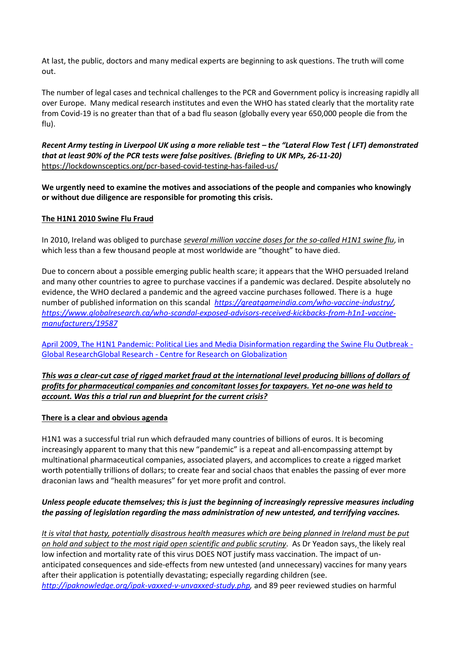At last, the public, doctors and many medical experts are beginning to ask questions. The truth will come out.

The number of legal cases and technical challenges to the PCR and Government policy is increasing rapidly all over Europe. Many medical research institutes and even the WHO has stated clearly that the mortality rate from Covid-19 is no greater than that of a bad flu season (globally every year 650,000 people die from the flu).

*Recent Army testing in Liverpool UK using a more reliable test – the "Lateral Flow Test ( LFT) demonstrated that at least 90% of the PCR tests were false positives. (Briefing to UK MPs, 26-11-20)*  <https://lockdownsceptics.org/pcr-based-covid-testing-has-failed-us/>

**We urgently need to examine the motives and associations of the people and companies who knowingly or without due diligence are responsible for promoting this crisis.** 

#### **The H1N1 2010 Swine Flu Fraud**

In 2010, Ireland was obliged to purchase *several million vaccine doses for the so-called H1N1 swine flu*, in which less than a few thousand people at most worldwide are "thought" to have died.

Due to concern about a possible emerging public health scare; it appears that the WHO persuaded Ireland and many other countries to agree to purchase vaccines if a pandemic was declared. Despite absolutely no evidence, the WHO declared a pandemic and the agreed vaccine purchases followed. There is a huge number of published information on this scandal *[https://greatgameindia.com/who-vaccine-industry/,](https://greatgameindia.com/who-vaccine-industry/) [https://www.globalresearch.ca/who-scandal-exposed-advisors-received-kickbacks-from-h1n1-vaccine](https://www.globalresearch.ca/who-scandal-exposed-advisors-received-kickbacks-from-h1n1-vaccine-manufacturers/19587)[manufacturers/19587](https://www.globalresearch.ca/who-scandal-exposed-advisors-received-kickbacks-from-h1n1-vaccine-manufacturers/19587)*

[April 2009, The H1N1 Pandemic: Political Lies and Media Disinformation regarding the Swine Flu Outbreak -](https://www.globalresearch.ca/political-lies-and-media-disinformation-regarding-the-swine-flu-pandemic/13433) Global ResearchGlobal Research - [Centre for Research on Globalization](https://www.globalresearch.ca/political-lies-and-media-disinformation-regarding-the-swine-flu-pandemic/13433) 

*This was a clear-cut case of rigged market fraud at the international level producing billions of dollars of profits for pharmaceutical companies and concomitant losses for taxpayers. Yet no-one was held to account. Was this a trial run and blueprint for the current crisis?* 

#### **There is a clear and obvious agenda**

H1N1 was a successful trial run which defrauded many countries of billions of euros. It is becoming increasingly apparent to many that this new "pandemic" is a repeat and all-encompassing attempt by multinational pharmaceutical companies, associated players, and accomplices to create a rigged market worth potentially trillions of dollars; to create fear and social chaos that enables the passing of ever more draconian laws and "health measures" for yet more profit and control.

# *Unless people educate themselves; this is just the beginning of increasingly repressive measures including the passing of legislation regarding the mass administration of new untested, and terrifying vaccines.*

*It is vital that hasty, potentially disastrous health measures which are being planned in Ireland must be put on hold and subject to the most rigid open scientific and public scrutiny*. As Dr Yeadon says, the likely real low infection and mortality rate of this virus DOES NOT justify mass vaccination. The impact of unanticipated consequences and side-effects from new untested (and unnecessary) vaccines for many years after their application is potentially devastating; especially regarding children (see. *[http://ipaknowledge.org/ipak-vaxxed-v-unvaxxed-study.php,](http://ipaknowledge.org/ipak-vaxxed-v-unvaxxed-study.php)* and 89 peer reviewed studies on harmful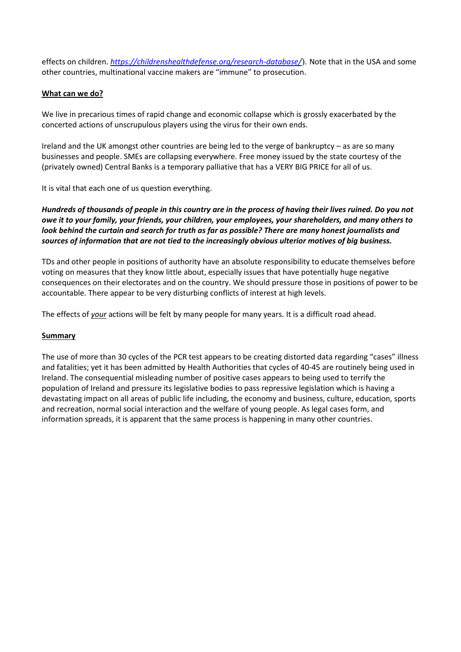effects on children. *<https://childrenshealthdefense.org/research-database/>*). Note that in the USA and some other countries, multinational vaccine makers are "immune" to prosecution.

## **What can we do?**

We live in precarious times of rapid change and economic collapse which is grossly exacerbated by the concerted actions of unscrupulous players using the virus for their own ends.

Ireland and the UK amongst other countries are being led to the verge of bankruptcy – as are so many businesses and people. SMEs are collapsing everywhere. Free money issued by the state courtesy of the (privately owned) Central Banks is a temporary palliative that has a VERY BIG PRICE for all of us.

It is vital that each one of us question everything.

*Hundreds of thousands of people in this country are in the process of having their lives ruined. Do you not owe it to your family, your friends, your children, your employees, your shareholders, and many others to look behind the curtain and search for truth as far as possible? There are many honest journalists and sources of information that are not tied to the increasingly obvious ulterior motives of big business.* 

TDs and other people in positions of authority have an absolute responsibility to educate themselves before voting on measures that they know little about, especially issues that have potentially huge negative consequences on their electorates and on the country. We should pressure those in positions of power to be accountable. There appear to be very disturbing conflicts of interest at high levels.

The effects of *your* actions will be felt by many people for many years. It is a difficult road ahead.

#### **Summary**

The use of more than 30 cycles of the PCR test appears to be creating distorted data regarding "cases" illness and fatalities; yet it has been admitted by Health Authorities that cycles of 40-45 are routinely being used in Ireland. The consequential misleading number of positive cases appears to being used to terrify the population of Ireland and pressure its legislative bodies to pass repressive legislation which is having a devastating impact on all areas of public life including, the economy and business, culture, education, sports and recreation, normal social interaction and the welfare of young people. As legal cases form, and information spreads, it is apparent that the same process is happening in many other countries.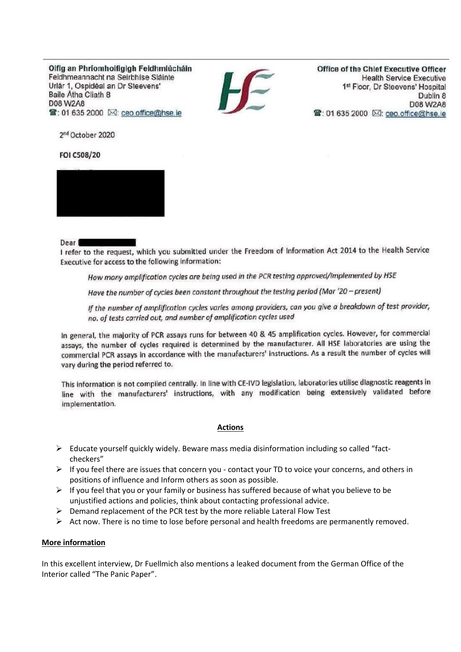Oifig an Phríomhoifigigh Feidhmiúcháin Feidhmeannacht na Seirbhíse Sláinte Urlár 1, Ospidéal an Dr Steevens' **Baile Atha Cliath 8** D08 W2A8 雷: 01 635 2000 24: ceo.office@hse.ie



Office of the Chief Executive Officer **Health Service Executive** 1st Floor, Dr Steevens' Hospital Dublin 8 D08 W2A8 曾: 01 635 2000 ⊠: ceo.office@hse.ie

2<sup>nd</sup> October 2020

FOI C508/20



Dear I

I refer to the request, which you submitted under the Freedom of Information Act 2014 to the Health Service Executive for access to the following information:

How many amplification cycles are being used in the PCR testing approved/implemented by HSE

Have the number of cycles been constant throughout the testing period (Mar '20 - present)

If the number of amplification cycles varies among providers, can you give a breakdown of test provider, no. of tests carried out, and number of amplification cycles used

In general, the majority of PCR assays runs for between 40 & 45 amplification cycles. However, for commercial assays, the number of cycles required is determined by the manufacturer. All HSE laboratories are using the commercial PCR assays in accordance with the manufacturers' instructions. As a result the number of cycles will vary during the period referred to.

This information is not compiled centrally. In line with CE-IVD legislation, laboratories utilise diagnostic reagents in line with the manufacturers' instructions, with any modification being extensively validated before implementation.

#### **Actions**

- ➢ Educate yourself quickly widely. Beware mass media disinformation including so called "factcheckers"
- $\triangleright$  If you feel there are issues that concern you contact your TD to voice your concerns, and others in positions of influence and Inform others as soon as possible.
- $\triangleright$  If you feel that you or your family or business has suffered because of what you believe to be unjustified actions and policies, think about contacting professional advice.
- ➢ Demand replacement of the PCR test by the more reliable Lateral Flow Test
- $\triangleright$  Act now. There is no time to lose before personal and health freedoms are permanently removed.

#### **More information**

In this excellent interview, Dr Fuellmich also mentions a leaked document from the German Office of the Interior called "The Panic Paper".